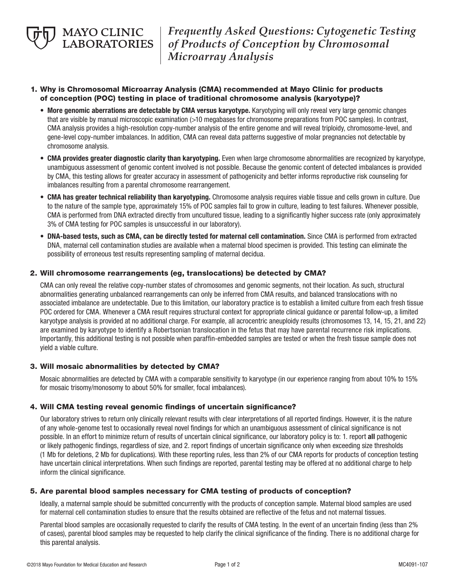*Frequently Asked Questions: Cytogenetic Testing of Products of Conception by Chromosomal Microarray Analysis*

# 1. Why is Chromosomal Microarray Analysis (CMA) recommended at Mayo Clinic for products of conception (POC) testing in place of traditional chromosome analysis (karyotype)?

- More genomic aberrations are detectable by CMA versus karyotype. Karyotyping will only reveal very large genomic changes that are visible by manual microscopic examination (>10 megabases for chromosome preparations from POC samples). In contrast, CMA analysis provides a high-resolution copy-number analysis of the entire genome and will reveal triploidy, chromosome-level, and gene-level copy-number imbalances. In addition, CMA can reveal data patterns suggestive of molar pregnancies not detectable by chromosome analysis.
- CMA provides greater diagnostic clarity than karyotyping. Even when large chromosome abnormalities are recognized by karyotype, unambiguous assessment of genomic content involved is not possible. Because the genomic content of detected imbalances is provided by CMA, this testing allows for greater accuracy in assessment of pathogenicity and better informs reproductive risk counseling for imbalances resulting from a parental chromosome rearrangement.
- CMA has greater technical reliability than karyotyping. Chromosome analysis requires viable tissue and cells grown in culture. Due to the nature of the sample type, approximately 15% of POC samples fail to grow in culture, leading to test failures. Whenever possible, CMA is performed from DNA extracted directly from uncultured tissue, leading to a significantly higher success rate (only approximately 3% of CMA testing for POC samples is unsuccessful in our laboratory).
- DNA-based tests, such as CMA, can be directly tested for maternal cell contamination. Since CMA is performed from extracted DNA, maternal cell contamination studies are available when a maternal blood specimen is provided. This testing can eliminate the possibility of erroneous test results representing sampling of maternal decidua.

# 2. Will chromosome rearrangements (eg, translocations) be detected by CMA?

 CMA can only reveal the relative copy-number states of chromosomes and genomic segments, not their location. As such, structural abnormalities generating unbalanced rearrangements can only be inferred from CMA results, and balanced translocations with no associated imbalance are undetectable. Due to this limitation, our laboratory practice is to establish a limited culture from each fresh tissue POC ordered for CMA. Whenever a CMA result requires structural context for appropriate clinical guidance or parental follow-up, a limited karyotype analysis is provided at no additional charge. For example, all acrocentric aneuploidy results (chromosomes 13, 14, 15, 21, and 22) are examined by karyotype to identify a Robertsonian translocation in the fetus that may have parental recurrence risk implications. Importantly, this additional testing is not possible when paraffin-embedded samples are tested or when the fresh tissue sample does not yield a viable culture.

# 3. Will mosaic abnormalities by detected by CMA?

 Mosaic abnormalities are detected by CMA with a comparable sensitivity to karyotype (in our experience ranging from about 10% to 15% for mosaic trisomy/monosomy to about 50% for smaller, focal imbalances).

# 4. Will CMA testing reveal genomic findings of uncertain significance?

 Our laboratory strives to return only clinically relevant results with clear interpretations of all reported findings. However, it is the nature of any whole-genome test to occasionally reveal novel findings for which an unambiguous assessment of clinical significance is not possible. In an effort to minimize return of results of uncertain clinical significance, our laboratory policy is to: 1. report all pathogenic or likely pathogenic findings, regardless of size, and 2. report findings of uncertain significance only when exceeding size thresholds (1 Mb for deletions, 2 Mb for duplications). With these reporting rules, less than 2% of our CMA reports for products of conception testing have uncertain clinical interpretations. When such findings are reported, parental testing may be offered at no additional charge to help inform the clinical significance.

# 5. Are parental blood samples necessary for CMA testing of products of conception?

 Ideally, a maternal sample should be submitted concurrently with the products of conception sample. Maternal blood samples are used for maternal cell contamination studies to ensure that the results obtained are reflective of the fetus and not maternal tissues.

Parental blood samples are occasionally requested to clarify the results of CMA testing. In the event of an uncertain finding (less than 2% of cases), parental blood samples may be requested to help clarify the clinical significance of the finding. There is no additional charge for this parental analysis.